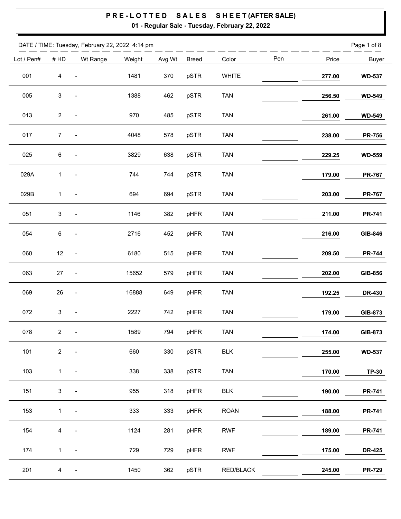|            |                | DATE / TIME: Tuesday, February 22, 2022 4:14 pm |        |        |              |              |     |        | Page 1 of 8   |
|------------|----------------|-------------------------------------------------|--------|--------|--------------|--------------|-----|--------|---------------|
| Lot / Pen# | $\#$ HD        | Wt Range                                        | Weight | Avg Wt | <b>Breed</b> | Color        | Pen | Price  | <b>Buyer</b>  |
| 001        | $\overline{4}$ |                                                 | 1481   | 370    | pSTR         | <b>WHITE</b> |     | 277.00 | <b>WD-537</b> |
| 005        | 3              |                                                 | 1388   | 462    | pSTR         | <b>TAN</b>   |     | 256.50 | <b>WD-549</b> |
| 013        | $\overline{c}$ | $\overline{a}$                                  | 970    | 485    | pSTR         | <b>TAN</b>   |     | 261.00 | <b>WD-549</b> |
| 017        | $\overline{7}$ | $\blacksquare$                                  | 4048   | 578    | pSTR         | <b>TAN</b>   |     | 238.00 | <b>PR-756</b> |
| 025        | 6              | $\overline{\phantom{a}}$                        | 3829   | 638    | pSTR         | <b>TAN</b>   |     | 229.25 | <b>WD-559</b> |
| 029A       | 1              | $\qquad \qquad \blacksquare$                    | 744    | 744    | pSTR         | <b>TAN</b>   |     | 179.00 | <b>PR-767</b> |
| 029B       | 1              | $\overline{a}$                                  | 694    | 694    | pSTR         | <b>TAN</b>   |     | 203.00 | <b>PR-767</b> |
| 051        | 3              | $\qquad \qquad \blacksquare$                    | 1146   | 382    | pHFR         | <b>TAN</b>   |     | 211.00 | <b>PR-741</b> |
| 054        | 6              | $\blacksquare$                                  | 2716   | 452    | pHFR         | <b>TAN</b>   |     | 216.00 | GIB-846       |
| 060        | 12             | $\overline{\phantom{a}}$                        | 6180   | 515    | pHFR         | <b>TAN</b>   |     | 209.50 | <b>PR-744</b> |
| 063        | 27             | $\qquad \qquad \blacksquare$                    | 15652  | 579    | pHFR         | <b>TAN</b>   |     | 202.00 | GIB-856       |
| 069        | $26\,$         | $\blacksquare$                                  | 16888  | 649    | pHFR         | <b>TAN</b>   |     | 192.25 | <b>DR-430</b> |
| 072        | 3              | $\qquad \qquad \blacksquare$                    | 2227   | 742    | pHFR         | <b>TAN</b>   |     | 179.00 | GIB-873       |
| 078        | $\overline{2}$ | $\overline{\phantom{a}}$                        | 1589   | 794    | pHFR         | <b>TAN</b>   |     | 174.00 | GIB-873       |
| 101        | 2 <sup>7</sup> | $\qquad \qquad \blacksquare$                    | 660    | 330    | pSTR         | <b>BLK</b>   |     | 255.00 | <b>WD-537</b> |
| 103        | $\mathbf{1}$   | $\overline{\phantom{a}}$                        | 338    | 338    | pSTR         | <b>TAN</b>   |     | 170.00 | <b>TP-30</b>  |
| 151        | $\mathbf{3}$   | $\qquad \qquad \blacksquare$                    | 955    | 318    | pHFR         | <b>BLK</b>   |     | 190.00 | <b>PR-741</b> |
| 153        | $\mathbf{1}$   | $\qquad \qquad \blacksquare$                    | 333    | 333    | pHFR         | <b>ROAN</b>  |     | 188.00 | <b>PR-741</b> |
| 154        | $\overline{4}$ |                                                 | 1124   | 281    | pHFR         | <b>RWF</b>   |     | 189.00 | <b>PR-741</b> |
| 174        | $\mathbf 1$    | $\qquad \qquad \blacksquare$                    | 729    | 729    | pHFR         | <b>RWF</b>   |     | 175.00 | <b>DR-425</b> |
| 201        | $\overline{4}$ | $\qquad \qquad \blacksquare$                    | 1450   | 362    | pSTR         | RED/BLACK    |     | 245.00 | <b>PR-729</b> |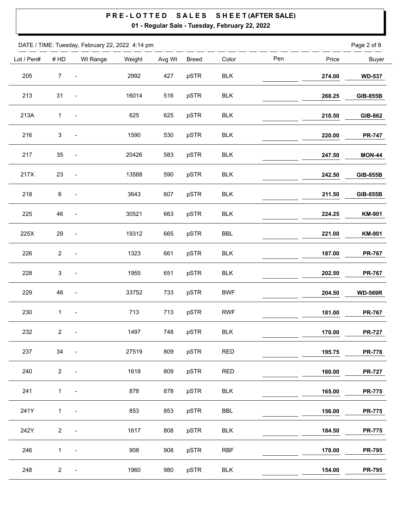|            |                | DATE / TIME: Tuesday, February 22, 2022 4:14 pm |        |        |              |            |     |        | Page 2 of 8     |
|------------|----------------|-------------------------------------------------|--------|--------|--------------|------------|-----|--------|-----------------|
| Lot / Pen# | # HD           | Wt Range                                        | Weight | Avg Wt | <b>Breed</b> | Color      | Pen | Price  | <b>Buyer</b>    |
| 205        | $\overline{7}$ | $\qquad \qquad \blacksquare$                    | 2992   | 427    | pSTR         | <b>BLK</b> |     | 274.00 | <b>WD-537</b>   |
| 213        | 31             | $\overline{\phantom{a}}$                        | 16014  | 516    | pSTR         | <b>BLK</b> |     | 268.25 | <b>GIB-855B</b> |
| 213A       | 1              | $\overline{\phantom{a}}$                        | 625    | 625    | pSTR         | <b>BLK</b> |     | 210.50 | GIB-862         |
| 216        | $\mathsf 3$    | $\overline{\phantom{a}}$                        | 1590   | 530    | pSTR         | <b>BLK</b> |     | 220.00 | <b>PR-747</b>   |
| 217        | 35             | $\qquad \qquad \blacksquare$                    | 20426  | 583    | pSTR         | <b>BLK</b> |     | 247.50 | <b>MON-44</b>   |
| 217X       | 23             | $\blacksquare$                                  | 13588  | 590    | pSTR         | <b>BLK</b> |     | 242.50 | <b>GIB-855B</b> |
| 218        | 6              | $\qquad \qquad \blacksquare$                    | 3643   | 607    | pSTR         | <b>BLK</b> |     | 211.50 | <b>GIB-855B</b> |
| 225        | 46             | $\qquad \qquad \blacksquare$                    | 30521  | 663    | pSTR         | <b>BLK</b> |     | 224.25 | <b>KM-901</b>   |
| 225X       | 29             | $\qquad \qquad \blacksquare$                    | 19312  | 665    | pSTR         | <b>BBL</b> |     | 221.00 | <b>KM-901</b>   |
| 226        | $\sqrt{2}$     | $\qquad \qquad \blacksquare$                    | 1323   | 661    | pSTR         | <b>BLK</b> |     | 187.00 | <b>PR-767</b>   |
| 228        | $\mathbf{3}$   | $\qquad \qquad \blacksquare$                    | 1955   | 651    | pSTR         | <b>BLK</b> |     | 202.50 | <b>PR-767</b>   |
| 229        | 46             | $\qquad \qquad \blacksquare$                    | 33752  | 733    | pSTR         | <b>BWF</b> |     | 204.50 | <b>WD-569R</b>  |
| 230        | 1              | $\qquad \qquad \blacksquare$                    | 713    | 713    | pSTR         | <b>RWF</b> |     | 181.00 | <b>PR-767</b>   |
| 232        | $\overline{a}$ | $\overline{\phantom{a}}$                        | 1497   | 748    | pSTR         | BLK        |     | 170.00 | <b>PR-727</b>   |
| 237        | 34             | $\overline{\phantom{a}}$                        | 27519  | 809    | pSTR         | <b>RED</b> |     | 195.75 | <b>PR-778</b>   |
| 240        | $\overline{2}$ | $\blacksquare$                                  | 1618   | 809    | pSTR         | <b>RED</b> |     | 160.00 | <b>PR-727</b>   |
| 241        | $\mathbf{1}$   | $\qquad \qquad \blacksquare$                    | 878    | 878    | pSTR         | <b>BLK</b> |     | 165.00 | <b>PR-775</b>   |
| 241Y       | $\mathbf{1}$   | $\overline{\phantom{a}}$                        | 853    | 853    | pSTR         | BBL        |     | 156.00 | <b>PR-775</b>   |
| 242Y       | $2^{\circ}$    | $\qquad \qquad \blacksquare$                    | 1617   | 808    | pSTR         | <b>BLK</b> |     | 184.50 | <b>PR-775</b>   |
| 246        | $\mathbf{1}$   | $\overline{\phantom{a}}$                        | 908    | 908    | pSTR         | <b>RBF</b> |     | 178.00 | <b>PR-795</b>   |
| 248        | $\overline{2}$ | $\qquad \qquad \blacksquare$                    | 1960   | 980    | pSTR         | <b>BLK</b> |     | 154.00 | <b>PR-795</b>   |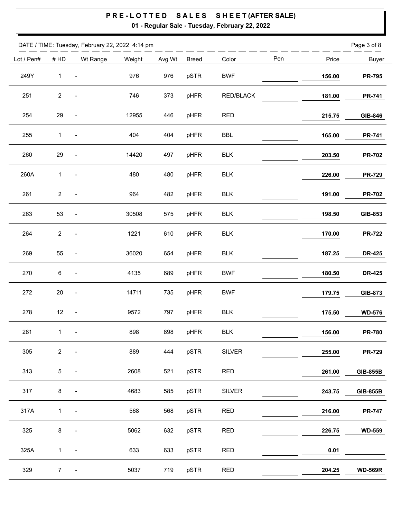$\overline{\phantom{0}}$ 

|            |                | DATE / TIME: Tuesday, February 22, 2022 4:14 pm |        |        |              |                |     |        | Page 3 of 8     |
|------------|----------------|-------------------------------------------------|--------|--------|--------------|----------------|-----|--------|-----------------|
| Lot / Pen# | #HD            | Wt Range                                        | Weight | Avg Wt | <b>Breed</b> | Color          | Pen | Price  | <b>Buyer</b>    |
| 249Y       | $\mathbf{1}$   | $\blacksquare$                                  | 976    | 976    | pSTR         | <b>BWF</b>     |     | 156.00 | <b>PR-795</b>   |
| 251        | $\mathbf{2}$   | $\frac{1}{2}$                                   | 746    | 373    | pHFR         | RED/BLACK      |     | 181.00 | <b>PR-741</b>   |
| 254        | 29             | $\frac{1}{2}$                                   | 12955  | 446    | pHFR         | <b>RED</b>     |     | 215.75 | GIB-846         |
| 255        | $\mathbf{1}$   | $\qquad \qquad \blacksquare$                    | 404    | 404    | pHFR         | <b>BBL</b>     |     | 165.00 | <b>PR-741</b>   |
| 260        | 29             | $\qquad \qquad \blacksquare$                    | 14420  | 497    | pHFR         | <b>BLK</b>     |     | 203.50 | <b>PR-702</b>   |
| 260A       | $\mathbf{1}$   | $\qquad \qquad \blacksquare$                    | 480    | 480    | pHFR         | BLK            |     | 226.00 | <b>PR-729</b>   |
| 261        | $\mathbf{2}$   | $\qquad \qquad \blacksquare$                    | 964    | 482    | pHFR         | <b>BLK</b>     |     | 191.00 | <b>PR-702</b>   |
| 263        | 53             | $\qquad \qquad \blacksquare$                    | 30508  | 575    | pHFR         | <b>BLK</b>     |     | 198.50 | GIB-853         |
| 264        | $\mathbf{2}$   | $\qquad \qquad \blacksquare$                    | 1221   | 610    | pHFR         | <b>BLK</b>     |     | 170.00 | <b>PR-722</b>   |
| 269        | 55             | $\qquad \qquad \blacksquare$                    | 36020  | 654    | pHFR         | <b>BLK</b>     |     | 187.25 | <b>DR-425</b>   |
| 270        | 6              | $\blacksquare$                                  | 4135   | 689    | pHFR         | <b>BWF</b>     |     | 180.50 | <b>DR-425</b>   |
| 272        | $20\,$         | $\qquad \qquad \blacksquare$                    | 14711  | 735    | pHFR         | <b>BWF</b>     |     | 179.75 | GIB-873         |
| 278        | 12             | $\qquad \qquad \blacksquare$                    | 9572   | 797    | pHFR         | <b>BLK</b>     |     | 175.50 | <b>WD-576</b>   |
| 281        | $\mathbf{1}$   | $\blacksquare$                                  | 898    | 898    | pHFR         | $\mathsf{BLK}$ |     | 156.00 | <b>PR-780</b>   |
| 305        | $\overline{2}$ | $\qquad \qquad \blacksquare$                    | 889    | 444    | pSTR         | <b>SILVER</b>  |     | 255.00 | <b>PR-729</b>   |
| 313        | $5\,$          | $\qquad \qquad \blacksquare$                    | 2608   | 521    | pSTR         | <b>RED</b>     |     | 261.00 | <b>GIB-855B</b> |
| 317        | 8              |                                                 | 4683   | 585    | pSTR         | <b>SILVER</b>  |     | 243.75 | <b>GIB-855B</b> |
| 317A       | $\mathbf{1}$   | $\qquad \qquad \blacksquare$                    | 568    | 568    | pSTR         | <b>RED</b>     |     | 216.00 | <b>PR-747</b>   |
| 325        | $\bf 8$        |                                                 | 5062   | 632    | pSTR         | <b>RED</b>     |     | 226.75 | <b>WD-559</b>   |
| 325A       | $\mathbf{1}$   | $\overline{\phantom{a}}$                        | 633    | 633    | pSTR         | <b>RED</b>     |     | 0.01   |                 |
| 329        | 7 <sup>7</sup> | $\qquad \qquad \blacksquare$                    | 5037   | 719    | pSTR         | <b>RED</b>     |     | 204.25 | <b>WD-569R</b>  |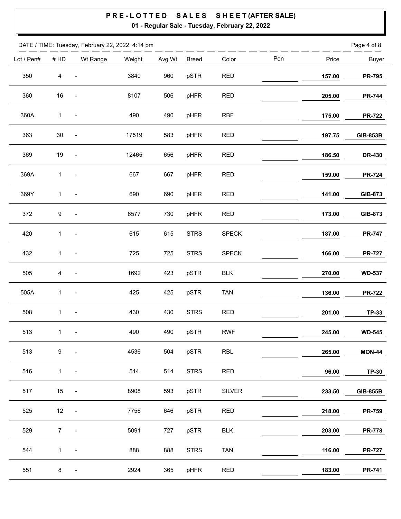|            |                | DATE / TIME: Tuesday, February 22, 2022 4:14 pm |        |        |              |               |     |        | Page 4 of 8     |
|------------|----------------|-------------------------------------------------|--------|--------|--------------|---------------|-----|--------|-----------------|
| Lot / Pen# | #HD            | Wt Range                                        | Weight | Avg Wt | <b>Breed</b> | Color         | Pen | Price  | <b>Buyer</b>    |
| 350        | $\overline{4}$ | $\overline{\phantom{a}}$                        | 3840   | 960    | pSTR         | <b>RED</b>    |     | 157.00 | <b>PR-795</b>   |
| 360        | $16\,$         | $\overline{\phantom{a}}$                        | 8107   | 506    | pHFR         | <b>RED</b>    |     | 205.00 | <b>PR-744</b>   |
| 360A       | 1              | $\overline{\phantom{a}}$                        | 490    | 490    | pHFR         | <b>RBF</b>    |     | 175.00 | <b>PR-722</b>   |
| 363        | $30\,$         | $\overline{\phantom{a}}$                        | 17519  | 583    | pHFR         | <b>RED</b>    |     | 197.75 | <b>GIB-853B</b> |
| 369        | 19             | $\overline{\phantom{a}}$                        | 12465  | 656    | pHFR         | <b>RED</b>    |     | 186.50 | <b>DR-430</b>   |
| 369A       | $\mathbf{1}$   | $\overline{\phantom{a}}$                        | 667    | 667    | pHFR         | <b>RED</b>    |     | 159.00 | <b>PR-724</b>   |
| 369Y       | 1              | $\overline{\phantom{a}}$                        | 690    | 690    | pHFR         | <b>RED</b>    |     | 141.00 | GIB-873         |
| 372        | 9              | $\qquad \qquad \blacksquare$                    | 6577   | 730    | pHFR         | <b>RED</b>    |     | 173.00 | GIB-873         |
| 420        | $\mathbf{1}$   | $\overline{\phantom{a}}$                        | 615    | 615    | <b>STRS</b>  | <b>SPECK</b>  |     | 187.00 | <b>PR-747</b>   |
| 432        | 1              | $\overline{\phantom{a}}$                        | 725    | 725    | <b>STRS</b>  | <b>SPECK</b>  |     | 166.00 | <b>PR-727</b>   |
| 505        | $\overline{4}$ |                                                 | 1692   | 423    | pSTR         | <b>BLK</b>    |     | 270.00 | <b>WD-537</b>   |
| 505A       | $\mathbf 1$    | $\qquad \qquad \blacksquare$                    | 425    | 425    | pSTR         | <b>TAN</b>    |     | 136.00 | <b>PR-722</b>   |
| 508        | 1              | $\qquad \qquad \blacksquare$                    | 430    | 430    | <b>STRS</b>  | <b>RED</b>    |     | 201.00 | <b>TP-33</b>    |
| 513        | $\mathbf{1}$   | $\blacksquare$                                  | 490    | 490    | pSTR         | ${\sf RWF}$   |     | 245.00 | <b>WD-545</b>   |
| 513        | 9              | $\qquad \qquad \blacksquare$                    | 4536   | 504    | pSTR         | <b>RBL</b>    |     | 265.00 | <b>MON-44</b>   |
| 516        | $\mathbf{1}$   | $\qquad \qquad \blacksquare$                    | 514    | 514    | <b>STRS</b>  | <b>RED</b>    |     | 96.00  | <b>TP-30</b>    |
| 517        | 15             | $\qquad \qquad \blacksquare$                    | 8908   | 593    | pSTR         | <b>SILVER</b> |     | 233.50 | <b>GIB-855B</b> |
| 525        | 12             | $\qquad \qquad \blacksquare$                    | 7756   | 646    | pSTR         | <b>RED</b>    |     | 218.00 | <b>PR-759</b>   |
| 529        | 7 <sup>7</sup> | $\qquad \qquad \blacksquare$                    | 5091   | 727    | pSTR         | <b>BLK</b>    |     | 203.00 | <b>PR-778</b>   |
| 544        | $\mathbf{1}$   | $\overline{\phantom{a}}$                        | 888    | 888    | <b>STRS</b>  | <b>TAN</b>    |     | 116.00 | <b>PR-727</b>   |
| 551        | 8              | $\overline{\phantom{a}}$                        | 2924   | 365    | pHFR         | <b>RED</b>    |     | 183.00 | <b>PR-741</b>   |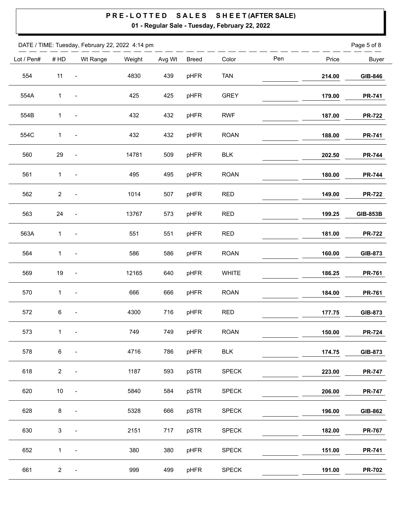|            |                | DATE / TIME: Tuesday, February 22, 2022 4:14 pm |        |        |              |              |     |        | Page 5 of 8     |
|------------|----------------|-------------------------------------------------|--------|--------|--------------|--------------|-----|--------|-----------------|
| Lot / Pen# | #HD            | Wt Range                                        | Weight | Avg Wt | <b>Breed</b> | Color        | Pen | Price  | <b>Buyer</b>    |
| 554        | 11             | $\blacksquare$                                  | 4830   | 439    | pHFR         | <b>TAN</b>   |     | 214.00 | GIB-846         |
| 554A       | $\mathbf{1}$   | $\overline{\phantom{a}}$                        | 425    | 425    | pHFR         | <b>GREY</b>  |     | 179.00 | <b>PR-741</b>   |
| 554B       | 1              | $\overline{\phantom{a}}$                        | 432    | 432    | pHFR         | <b>RWF</b>   |     | 187.00 | <b>PR-722</b>   |
| 554C       | $\mathbf{1}$   | $\overline{\phantom{a}}$                        | 432    | 432    | pHFR         | <b>ROAN</b>  |     | 188.00 | <b>PR-741</b>   |
| 560        | 29             | $\qquad \qquad \blacksquare$                    | 14781  | 509    | pHFR         | <b>BLK</b>   |     | 202.50 | <b>PR-744</b>   |
| 561        | $\mathbf{1}$   | $\overline{\phantom{a}}$                        | 495    | 495    | pHFR         | <b>ROAN</b>  |     | 180.00 | <b>PR-744</b>   |
| 562        | $\mathbf{2}$   | $\qquad \qquad \blacksquare$                    | 1014   | 507    | pHFR         | <b>RED</b>   |     | 149.00 | <b>PR-722</b>   |
| 563        | 24             | $\overline{\phantom{a}}$                        | 13767  | 573    | pHFR         | <b>RED</b>   |     | 199.25 | <b>GIB-853B</b> |
| 563A       | $\mathbf 1$    | $\overline{\phantom{a}}$                        | 551    | 551    | pHFR         | <b>RED</b>   |     | 181.00 | <b>PR-722</b>   |
| 564        | $\mathbf{1}$   | $\qquad \qquad \blacksquare$                    | 586    | 586    | pHFR         | <b>ROAN</b>  |     | 160.00 | GIB-873         |
| 569        | 19             | $\overline{\phantom{a}}$                        | 12165  | 640    | pHFR         | <b>WHITE</b> |     | 186.25 | <b>PR-761</b>   |
| 570        | 1              | $\blacksquare$                                  | 666    | 666    | pHFR         | <b>ROAN</b>  |     | 184.00 | <b>PR-761</b>   |
| 572        | 6              | $\blacksquare$                                  | 4300   | 716    | pHFR         | <b>RED</b>   |     | 177.75 | GIB-873         |
| 573        | $\mathbf 1$    | $\blacksquare$                                  | 749    | 749    | pHFR         | <b>ROAN</b>  |     | 150.00 | <b>PR-724</b>   |
| 578        | $\,6$          | $\qquad \qquad \blacksquare$                    | 4716   | 786    | pHFR         | <b>BLK</b>   |     | 174.75 | GIB-873         |
| 618        | $\overline{2}$ | $\qquad \qquad \blacksquare$                    | 1187   | 593    | pSTR         | <b>SPECK</b> |     | 223.00 | <b>PR-747</b>   |
| 620        | $10\,$         | $\qquad \qquad \blacksquare$                    | 5840   | 584    | pSTR         | <b>SPECK</b> |     | 206.00 | <b>PR-747</b>   |
| 628        | 8              | $\qquad \qquad \blacksquare$                    | 5328   | 666    | pSTR         | <b>SPECK</b> |     | 196.00 | GIB-862         |
| 630        | $\mathfrak{S}$ |                                                 | 2151   | 717    | pSTR         | <b>SPECK</b> |     | 182.00 | <b>PR-767</b>   |
| 652        | $\mathbf{1}$   | $\frac{1}{2}$                                   | 380    | 380    | pHFR         | <b>SPECK</b> |     | 151.00 | <b>PR-741</b>   |
| 661        | $\overline{2}$ | $\qquad \qquad \blacksquare$                    | 999    | 499    | pHFR         | <b>SPECK</b> |     | 191.00 | <b>PR-702</b>   |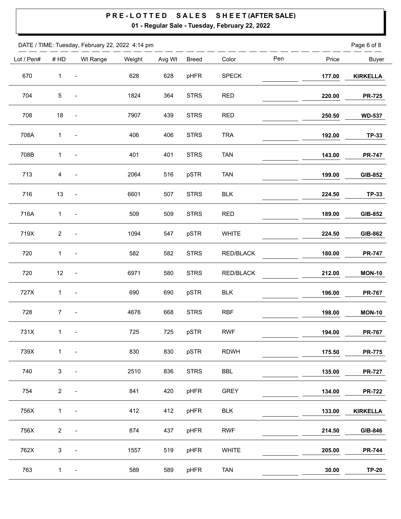|            |                | DATE / TIME: Tuesday, February 22, 2022 4:14 pm |        |        |              |              |     |        | Page 6 of 8     |
|------------|----------------|-------------------------------------------------|--------|--------|--------------|--------------|-----|--------|-----------------|
| Lot / Pen# | $\#$ HD        | Wt Range                                        | Weight | Avg Wt | <b>Breed</b> | Color        | Pen | Price  | <b>Buyer</b>    |
| 670        | $\mathbf{1}$   | $\overline{\phantom{a}}$                        | 628    | 628    | pHFR         | <b>SPECK</b> |     | 177.00 | <b>KIRKELLA</b> |
| 704        | $\sqrt{5}$     | $\overline{\phantom{a}}$                        | 1824   | 364    | <b>STRS</b>  | <b>RED</b>   |     | 220.00 | <b>PR-725</b>   |
| 708        | 18             | $\overline{\phantom{a}}$                        | 7907   | 439    | <b>STRS</b>  | <b>RED</b>   |     | 250.50 | <b>WD-537</b>   |
| 708A       | 1              |                                                 | 406    | 406    | <b>STRS</b>  | <b>TRA</b>   |     | 192.00 | <b>TP-33</b>    |
| 708B       | 1              | $\frac{1}{2}$                                   | 401    | 401    | <b>STRS</b>  | <b>TAN</b>   |     | 143.00 | <b>PR-747</b>   |
| 713        | $\overline{4}$ |                                                 | 2064   | 516    | pSTR         | <b>TAN</b>   |     | 199.00 | GIB-852         |
| 716        | 13             | $\frac{1}{2}$                                   | 6601   | 507    | <b>STRS</b>  | <b>BLK</b>   |     | 224.50 | <b>TP-33</b>    |
| 716A       | $\mathbf{1}$   | $\qquad \qquad \blacksquare$                    | 509    | 509    | <b>STRS</b>  | <b>RED</b>   |     | 189.00 | GIB-852         |
| 719X       | $\mathbf{2}$   | $\overline{a}$                                  | 1094   | 547    | pSTR         | <b>WHITE</b> |     | 224.50 | GIB-862         |
| 720        | 1              | $\frac{1}{2}$                                   | 582    | 582    | <b>STRS</b>  | RED/BLACK    |     | 180.00 | <b>PR-747</b>   |
| 720        | 12             | $\overline{\phantom{a}}$                        | 6971   | 580    | <b>STRS</b>  | RED/BLACK    |     | 212.00 | <b>MON-10</b>   |
| 727X       | $\mathbf{1}$   | $\qquad \qquad \blacksquare$                    | 690    | 690    | pSTR         | <b>BLK</b>   |     | 196.00 | <b>PR-767</b>   |
| 728        | $\overline{7}$ | $\overline{\phantom{a}}$                        | 4676   | 668    | <b>STRS</b>  | <b>RBF</b>   |     | 198.00 | <b>MON-10</b>   |
| 731X       | $\mathbf{1}$   | $\overline{\phantom{a}}$                        | 725    | 725    | pSTR         | <b>RWF</b>   |     | 194.00 | <b>PR-767</b>   |
| 739X       | $\mathbf{1}$   | $\qquad \qquad \blacksquare$                    | 830    | 830    | pSTR         | <b>RDWH</b>  |     | 175.50 | <b>PR-775</b>   |
| 740        | $\mathfrak{S}$ | $\qquad \qquad \blacksquare$                    | 2510   | 836    | <b>STRS</b>  | BBL          |     | 135.00 | <b>PR-727</b>   |
| 754        | $\overline{2}$ | $\overline{\phantom{a}}$                        | 841    | 420    | pHFR         | <b>GREY</b>  |     | 134.00 | <b>PR-722</b>   |
| 756X       | $\mathbf{1}$   | $\overline{\phantom{a}}$                        | 412    | 412    | pHFR         | <b>BLK</b>   |     | 133.00 | <b>KIRKELLA</b> |
| 756X       | $\overline{a}$ | $\overline{\phantom{0}}$                        | 874    | 437    | pHFR         | <b>RWF</b>   |     | 214.50 | GIB-846         |
| 762X       | $\mathfrak{S}$ | $\qquad \qquad \blacksquare$                    | 1557   | 519    | pHFR         | WHITE        |     | 205.00 | <b>PR-744</b>   |
| 763        | $\mathbf{1}$   | $\overline{\phantom{a}}$                        | 589    | 589    | pHFR         | <b>TAN</b>   |     | 30.00  | <b>TP-20</b>    |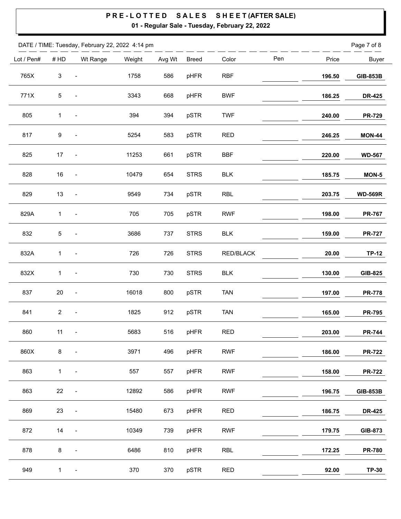|            |              | DATE / TIME: Tuesday, February 22, 2022 4:14 pm |        |        |              |                  |     |        | Page 7 of 8     |
|------------|--------------|-------------------------------------------------|--------|--------|--------------|------------------|-----|--------|-----------------|
| Lot / Pen# | #HD          | Wt Range                                        | Weight | Avg Wt | <b>Breed</b> | Color            | Pen | Price  | <b>Buyer</b>    |
| 765X       | $\sqrt{3}$   | $\overline{\phantom{a}}$                        | 1758   | 586    | pHFR         | <b>RBF</b>       |     | 196.50 | <b>GIB-853B</b> |
| 771X       | $\,$ 5 $\,$  | $\qquad \qquad \blacksquare$                    | 3343   | 668    | pHFR         | <b>BWF</b>       |     | 186.25 | <b>DR-425</b>   |
| 805        | 1            | $\overline{\phantom{a}}$                        | 394    | 394    | pSTR         | <b>TWF</b>       |     | 240.00 | <b>PR-729</b>   |
| 817        | 9            | $\qquad \qquad \blacksquare$                    | 5254   | 583    | pSTR         | <b>RED</b>       |     | 246.25 | <b>MON-44</b>   |
| 825        | 17           | $\overline{\phantom{a}}$                        | 11253  | 661    | pSTR         | <b>BBF</b>       |     | 220.00 | <b>WD-567</b>   |
| 828        | $16\,$       | $\overline{\phantom{a}}$                        | 10479  | 654    | <b>STRS</b>  | <b>BLK</b>       |     | 185.75 | $MON-5$         |
| 829        | 13           | $\overline{\phantom{a}}$                        | 9549   | 734    | pSTR         | <b>RBL</b>       |     | 203.75 | <b>WD-569R</b>  |
| 829A       | $\mathbf{1}$ | $\overline{\phantom{a}}$                        | 705    | 705    | pSTR         | <b>RWF</b>       |     | 198.00 | <b>PR-767</b>   |
| 832        | 5            | $\qquad \qquad \blacksquare$                    | 3686   | 737    | <b>STRS</b>  | <b>BLK</b>       |     | 159.00 | <b>PR-727</b>   |
| 832A       | $\mathbf 1$  | $\qquad \qquad \blacksquare$                    | 726    | 726    | <b>STRS</b>  | <b>RED/BLACK</b> |     | 20.00  | <b>TP-12</b>    |
| 832X       | $\mathbf{1}$ | $\qquad \qquad \blacksquare$                    | 730    | 730    | <b>STRS</b>  | <b>BLK</b>       |     | 130.00 | GIB-825         |
| 837        | $20\,$       | $\blacksquare$                                  | 16018  | 800    | pSTR         | <b>TAN</b>       |     | 197.00 | <b>PR-778</b>   |
| 841        | $\mathbf{2}$ | $\blacksquare$                                  | 1825   | 912    | pSTR         | <b>TAN</b>       |     | 165.00 | <b>PR-795</b>   |
| 860        | 11           | $\blacksquare$                                  | 5683   | 516    | pHFR         | <b>RED</b>       |     | 203.00 | <b>PR-744</b>   |
| 860X       | $\bf 8$      | $\qquad \qquad \blacksquare$                    | 3971   | 496    | pHFR         | <b>RWF</b>       |     | 186.00 | <b>PR-722</b>   |
| 863        | $\mathbf{1}$ | $\qquad \qquad \blacksquare$                    | 557    | 557    | pHFR         | <b>RWF</b>       |     | 158.00 | <b>PR-722</b>   |
| 863        | 22           | $\qquad \qquad \blacksquare$                    | 12892  | 586    | pHFR         | <b>RWF</b>       |     | 196.75 | <b>GIB-853B</b> |
| 869        | 23           | $\qquad \qquad \blacksquare$                    | 15480  | 673    | pHFR         | <b>RED</b>       |     | 186.75 | <b>DR-425</b>   |
| 872        | 14           | $\qquad \qquad \blacksquare$                    | 10349  | 739    | pHFR         | <b>RWF</b>       |     | 179.75 | GIB-873         |
| 878        | $\bf 8$      |                                                 | 6486   | 810    | pHFR         | <b>RBL</b>       |     | 172.25 | <b>PR-780</b>   |
| 949        | $\mathbf{1}$ | $\overline{\phantom{a}}$                        | 370    | 370    | pSTR         | <b>RED</b>       |     | 92.00  | <b>TP-30</b>    |